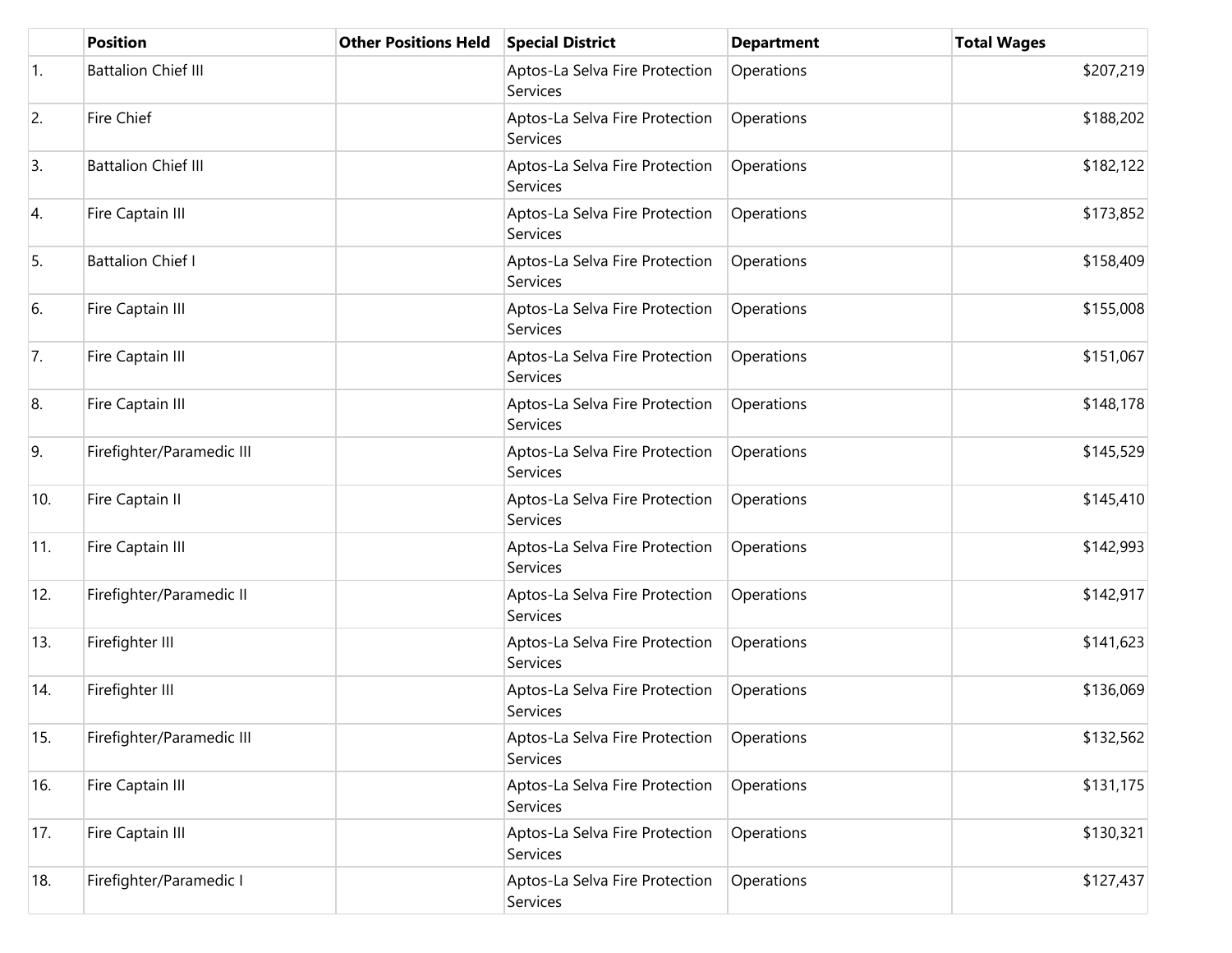|     | <b>Position</b>            | <b>Other Positions Held</b> | <b>Special District</b>                    | <b>Department</b> | <b>Total Wages</b> |
|-----|----------------------------|-----------------------------|--------------------------------------------|-------------------|--------------------|
| 1.  | <b>Battalion Chief III</b> |                             | Aptos-La Selva Fire Protection<br>Services | Operations        | \$207,219          |
| 2.  | Fire Chief                 |                             | Aptos-La Selva Fire Protection<br>Services | Operations        | \$188,202          |
| 3.  | <b>Battalion Chief III</b> |                             | Aptos-La Selva Fire Protection<br>Services | Operations        | \$182,122          |
| 4.  | Fire Captain III           |                             | Aptos-La Selva Fire Protection<br>Services | Operations        | \$173,852          |
| 5.  | <b>Battalion Chief I</b>   |                             | Aptos-La Selva Fire Protection<br>Services | Operations        | \$158,409          |
| 6.  | Fire Captain III           |                             | Aptos-La Selva Fire Protection<br>Services | Operations        | \$155,008          |
| 7.  | Fire Captain III           |                             | Aptos-La Selva Fire Protection<br>Services | Operations        | \$151,067          |
| 8.  | Fire Captain III           |                             | Aptos-La Selva Fire Protection<br>Services | Operations        | \$148,178          |
| 9.  | Firefighter/Paramedic III  |                             | Aptos-La Selva Fire Protection<br>Services | Operations        | \$145,529          |
| 10. | Fire Captain II            |                             | Aptos-La Selva Fire Protection<br>Services | Operations        | \$145,410          |
| 11. | Fire Captain III           |                             | Aptos-La Selva Fire Protection<br>Services | Operations        | \$142,993          |
| 12. | Firefighter/Paramedic II   |                             | Aptos-La Selva Fire Protection<br>Services | Operations        | \$142,917          |
| 13. | Firefighter III            |                             | Aptos-La Selva Fire Protection<br>Services | Operations        | \$141,623          |
| 14. | Firefighter III            |                             | Aptos-La Selva Fire Protection<br>Services | Operations        | \$136,069          |
| 15. | Firefighter/Paramedic III  |                             | Aptos-La Selva Fire Protection<br>Services | Operations        | \$132,562          |
| 16. | Fire Captain III           |                             | Aptos-La Selva Fire Protection<br>Services | Operations        | \$131,175          |
| 17. | Fire Captain III           |                             | Aptos-La Selva Fire Protection<br>Services | Operations        | \$130,321          |
| 18. | Firefighter/Paramedic I    |                             | Aptos-La Selva Fire Protection<br>Services | Operations        | \$127,437          |